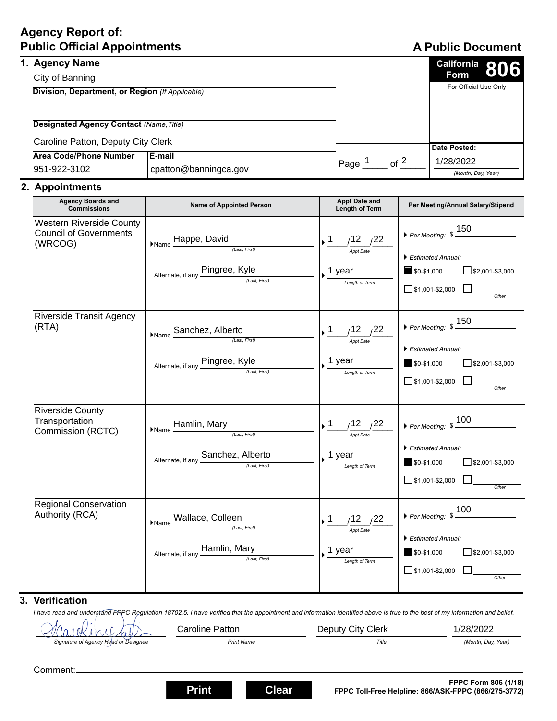# **Agency Report of: Public Official Appointments**

# **A Public Document**

| 1. Agency Name                                  |                       |                | $\frac{\text{California}}{\text{Form}}$ 806 |
|-------------------------------------------------|-----------------------|----------------|---------------------------------------------|
| City of Banning                                 |                       |                | Form                                        |
| Division, Department, or Region (If Applicable) |                       |                | For Official Use Only                       |
|                                                 |                       |                |                                             |
|                                                 |                       |                |                                             |
| <b>Designated Agency Contact (Name, Title)</b>  |                       |                |                                             |
| Caroline Patton, Deputy City Clerk              |                       |                |                                             |
| <b>Area Code/Phone Number</b>                   | l E-mail              |                | Date Posted:                                |
| 951-922-3102                                    | cpatton@banningca.gov | of $2$<br>Page | 1/28/2022                                   |
|                                                 |                       |                | (Month, Day, Year)                          |

## **2. Appointments**

| <b>Agency Boards and</b><br><b>Commissions</b>                              | <b>Name of Appointed Person</b>                                                                                                                         | <b>Appt Date and</b><br>Length of Term                                                                                                                                         | Per Meeting/Annual Salary/Stipend                                                                                                                                    |
|-----------------------------------------------------------------------------|---------------------------------------------------------------------------------------------------------------------------------------------------------|--------------------------------------------------------------------------------------------------------------------------------------------------------------------------------|----------------------------------------------------------------------------------------------------------------------------------------------------------------------|
| <b>Western Riverside County</b><br><b>Council of Governments</b><br>(WRCOG) | $\blacktriangleright$ Name $\frac{\text{Happe, David}}{\text{\textcolor{red}{(Last, First)}}}$<br>Alternate, if any <b>Pingree, Kyle</b>                | $\frac{1}{\sqrt{12}} \frac{12}{\frac{1}{\sqrt{10}} \cdot \frac{12}{\sqrt{10}} \cdot \frac{12}{\sqrt{10}}$<br>$\longleftarrow$ $\frac{1 \text{ year}}{\frac{Length of Term}{}}$ | ▶ Per Meeting: \$ 150<br>$\blacktriangleright$ Estimated Annual:<br>$\blacksquare$ \$0-\$1,000<br>$\Box$ \$2,001-\$3,000<br>$\Box$ \$1,001-\$2,000 $\Box$            |
| <b>Riverside Transit Agency</b><br>(RTA)                                    | $\blacktriangleright$ Name $\underbrace{\text{Sanchez, Alberto}}_{\text{\tiny (Last, First)}}$<br>Alternate, if any <b>Pingree</b> , Kyle (Last, First) | $\frac{1}{\frac{1}{\text{Appt Date}}}/\frac{12}{\frac{22}{\text{Appt Date}}}$<br>$\triangleright$ $\frac{1 \text{ year}}{ \frac{Length of Term}{\text{ term}}}$                | ▶ Per Meeting: \$ 150<br>Estimated Annual:<br>$\blacksquare$ \$0-\$1,000<br>$\Box$ \$2,001-\$3,000<br>$\Box$ \$1,001-\$2,000 $\Box$                                  |
| <b>Riverside County</b><br>Transportation<br>Commission (RCTC)              | $\blacktriangleright$ Name $\underbrace{\mathsf{Hamlin},\, \mathsf{Mary}}_{\text{\tiny (Last, First)}}$<br>Alternate, if any <b>Sanchez</b> , Alberto   | $\frac{1}{\sqrt{12}} \frac{12}{\frac{22}{\text{Appt Date}}}$<br>$\frac{1 \text{ year}}{$ Length of Term                                                                        | ▶ Per Meeting: \$ 100<br>$\blacktriangleright$ Estimated Annual:<br>$\blacksquare$ \$0-\$1,000<br>$\Box$ \$2,001-\$3,000<br>$\Box$ \$1,001-\$2,000 $\Box$<br>Other   |
| Regional Conservation<br>Authority (RCA)                                    | $\blacktriangleright$ Name Wallace, Colleen<br>Alternate, if any <b>Hamlin, Mary</b>                                                                    | $\frac{1}{\sqrt{1-\frac{12}{\frac{Appt}_{\text{Date}}}{2}}}$<br>$\triangleright$ $\frac{1 \text{ year}}{2 \cdot \text{Length of Term}}$                                        | $\triangleright$ Per Meeting: $\frac{100}{2}$<br>Estimated Annual:<br>$\blacksquare$ \$0-\$1,000<br>$\Box$ \$2,001-\$3,000<br>$\Box$ \$1,001-\$2,000 $\Box$<br>Other |

### **3. Verification**

*I have read and understand FPPC Regulation 18702.5. I have verified that the appointment and information identified above is true to the best of my information and belief.*

| 10 <sub>0</sub>                                    | Caroline Patton   | Deputy City Clerk | /28/2022           |
|----------------------------------------------------|-------------------|-------------------|--------------------|
| Signature of Agency He <mark>ad or Designee</mark> | <b>Print Name</b> | Title             | (Month, Day, Year) |

Comment: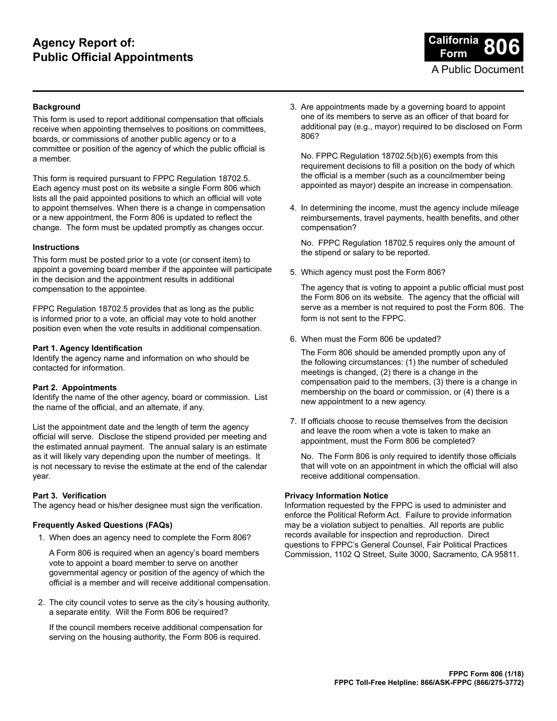## **Agency Report of: Public Official Appointments**



#### **Background**

This form is used to report additional compensation that officials receive when appointing themselves to positions on committees, boards, or commissions of another public agency or to a committee or position of the agency of which the public official is a member.

This form is required pursuant to FPPC Regulation 18702.5. Each agency must post on its website a single Form 806 which lists all the paid appointed positions to which an official will vote to appoint themselves. When there is a change in compensation or a new appointment, the Form 806 is updated to reflect the change. The form must be updated promptly as changes occur.

#### **Instructions**

This form must be posted prior to a vote (or consent item) to appoint a governing board member if the appointee will participate in the decision and the appointment results in additional compensation to the appointee.

FPPC Regulation 18702.5 provides that as long as the public is informed prior to a vote, an official may vote to hold another position even when the vote results in additional compensation.

#### **Part 1. Agency Identification**

Identify the agency name and information on who should be contacted for information.

#### **Part 2. Appointments**

Identify the name of the other agency, board or commission. List the name of the official, and an alternate, if any.

List the appointment date and the length of term the agency official will serve. Disclose the stipend provided per meeting and the estimated annual payment. The annual salary is an estimate as it will likely vary depending upon the number of meetings. It is not necessary to revise the estimate at the end of the calendar year.

#### **Part 3. Verification**

The agency head or his/her designee must sign the verification.

#### **Frequently Asked Questions (FAQs)**

1. When does an agency need to complete the Form 806?

A Form 806 is required when an agency's board members vote to appoint a board member to serve on another governmental agency or position of the agency of which the official is a member and will receive additional compensation.

2. The city council votes to serve as the city's housing authority, a separate entity. Will the Form 806 be required?

If the council members receive additional compensation for serving on the housing authority, the Form 806 is required.

3. Are appointments made by a governing board to appoint one of its members to serve as an officer of that board for additional pay (e.g., mayor) required to be disclosed on Form 806?

No. FPPC Regulation 18702.5(b)(6) exempts from this requirement decisions to fill a position on the body of which the official is a member (such as a councilmember being appointed as mayor) despite an increase in compensation.

4. In determining the income, must the agency include mileage reimbursements, travel payments, health benefits, and other compensation?

No. FPPC Regulation 18702.5 requires only the amount of the stipend or salary to be reported.

5. Which agency must post the Form 806?

The agency that is voting to appoint a public official must post the Form 806 on its website. The agency that the official will serve as a member is not required to post the Form 806. The form is not sent to the FPPC.

6. When must the Form 806 be updated?

The Form 806 should be amended promptly upon any of the following circumstances: (1) the number of scheduled meetings is changed, (2) there is a change in the compensation paid to the members, (3) there is a change in membership on the board or commission, or (4) there is a new appointment to a new agency.

7. If officials choose to recuse themselves from the decision and leave the room when a vote is taken to make an appointment, must the Form 806 be completed?

No. The Form 806 is only required to identify those officials that will vote on an appointment in which the official will also receive additional compensation.

#### **Privacy Information Notice**

Information requested by the FPPC is used to administer and enforce the Political Reform Act. Failure to provide information may be a violation subject to penalties. All reports are public records available for inspection and reproduction. Direct questions to FPPC's General Counsel, Fair Political Practices Commission, 1102 Q Street, Suite 3000, Sacramento, CA 95811.